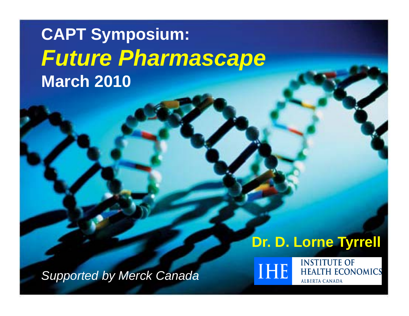# **CAPT Symposium:** *Future Pharmascape Pharmascape* **March 2010**

# **Dr. D. Lorne Tyrrell**

*Supported by Merck Canada*



**HEALTH ECONOMICS ALBERTA CANADA** 

**INSTITUTE OF** 

1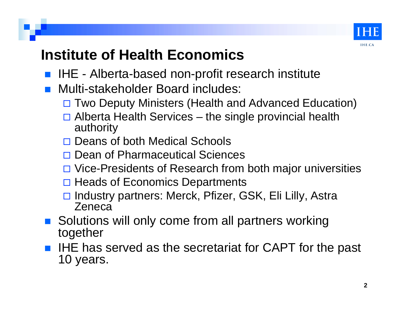

### **Institute of Health Economics**

- IHE Alberta-based non-profit research institute
- Multi-stakeholder Board includes:
	- □ Two Deputy Ministers (Health and Advanced Education)
	- $\Box$  Alberta Health Services the single provincial health authority
	- □ Deans of both Medical Schools
	- **□ Dean of Pharmaceutical Sciences**
	- □ Vice-Presidents of Research from both major universities
	- □ Heads of Economics Departments
	- □ Industry partners: Merck, Pfizer, GSK, Eli Lilly, Astra Zeneca
- Solutions will only come from all partners working together
- IHE has served as the secretariat for CAPT for the past 10 years years.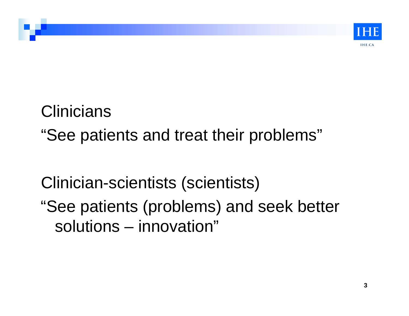

# **Clinicians** "See patients and treat their problems"

# Clinician-scientists (scientists)

"See patients (problems) and seek better solutions – innovation"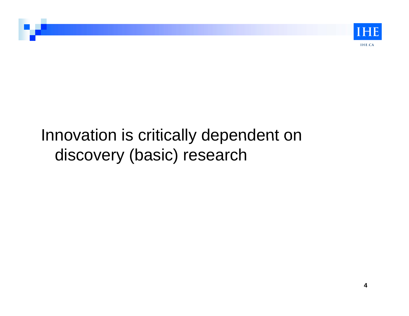

# Innovation is critically dependent on discovery (basic) research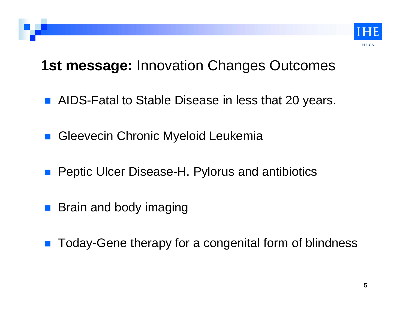

#### **1st message:** Innovation Changes Outcomes

- **AIDS-Fatal to Stable Disease in less that 20 years.**
- **B.** Gleevecin Chronic Myeloid Leukemia
- **Peptic Ulcer Disease-H. Pylorus and antibiotics**
- Brain and body imaging
- $\mathcal{L}_{\text{max}}$ Today-Gene therapy for a congenital form of blindness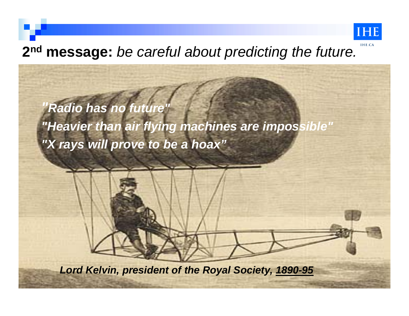

6

## **2<sup>nd</sup> message:** *be careful about predicting the future.* Here  $\alpha$

*"Radio has no future" "Heavier than air flying machines are impossible" "X rays will prove to be a hoax"*

*Lord Kelvin, president of the Royal Society, 1890-95*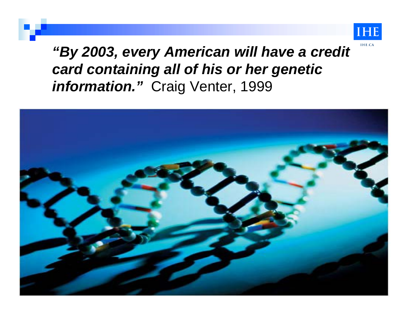

*"By 2003, every American will have a credit card containing all of his or her genetic information."* Craig Venter, 1999

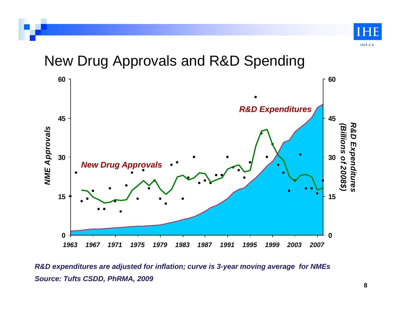

New Drug Approvals and R&D Spending



*Source: Tufts CSDD, PhRMA, 2009 R&D expenditures are adjusted for inflation; curve is 3-year moving average for NMEs*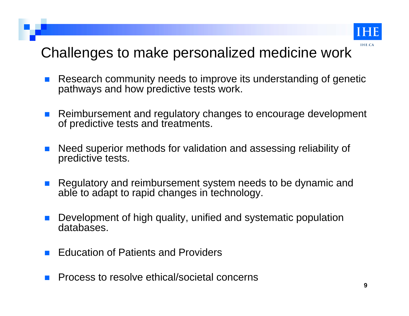

#### Challenges to make personalized medicine work

- $\mathcal{L}^{\mathcal{L}}$  Research community needs to improve its understanding of genetic pathways and how predictive tests work.
- a a s Reimbursement and regulatory changes to encourage development of predictive tests and treatments.
- $\mathcal{L}_{\mathcal{A}}$  Need superior methods for validation and assessing reliability of predictive tests.
- $\mathbb{R}^n$  Regulatory and reimbursement system needs to be dynamic and able to adapt to rapid changes in technology.
- $\mathcal{L}_{\mathcal{A}}$ Development of high quality, unified and systematic population databases.
- $\mathbb{R}^2$ Education of Patients and Providers
- $\sim$ Process to resolve ethical/societal concerns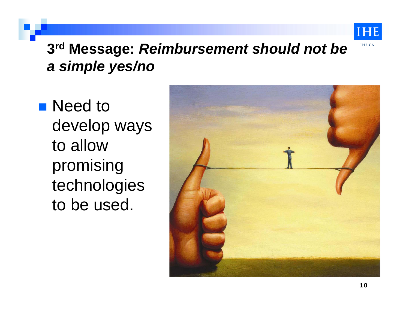

### **3rd Message:** *Reimbursement should not be a simple yes/no*

■ Need to develop ways to allow promising technologies to be used.

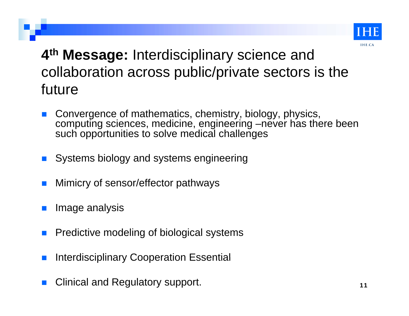

## 4<sup>th</sup> Message: Interdisciplinary science and collaboration across public/private sectors is the future

- $\mathbb{R}^2$  Convergence of mathematics, chemistry, biology, physics, computing sciences, medicine, engineering –never has there been such opportunities to solve medical challenges
- $\mathbb{R}^2$ Systems biology and systems engineering
- $\mathbb{R}^2$ Mimicry of sensor/effector pathways
- $\mathbb{R}^2$ Image analysis
- $\mathbb{R}^2$ Predictive modeling of biological systems
- $\mathbb{R}^2$ **n Interdisciplinary Cooperation Essential**
- $\mathbb{R}^2$ Clinical and Regulatory support.